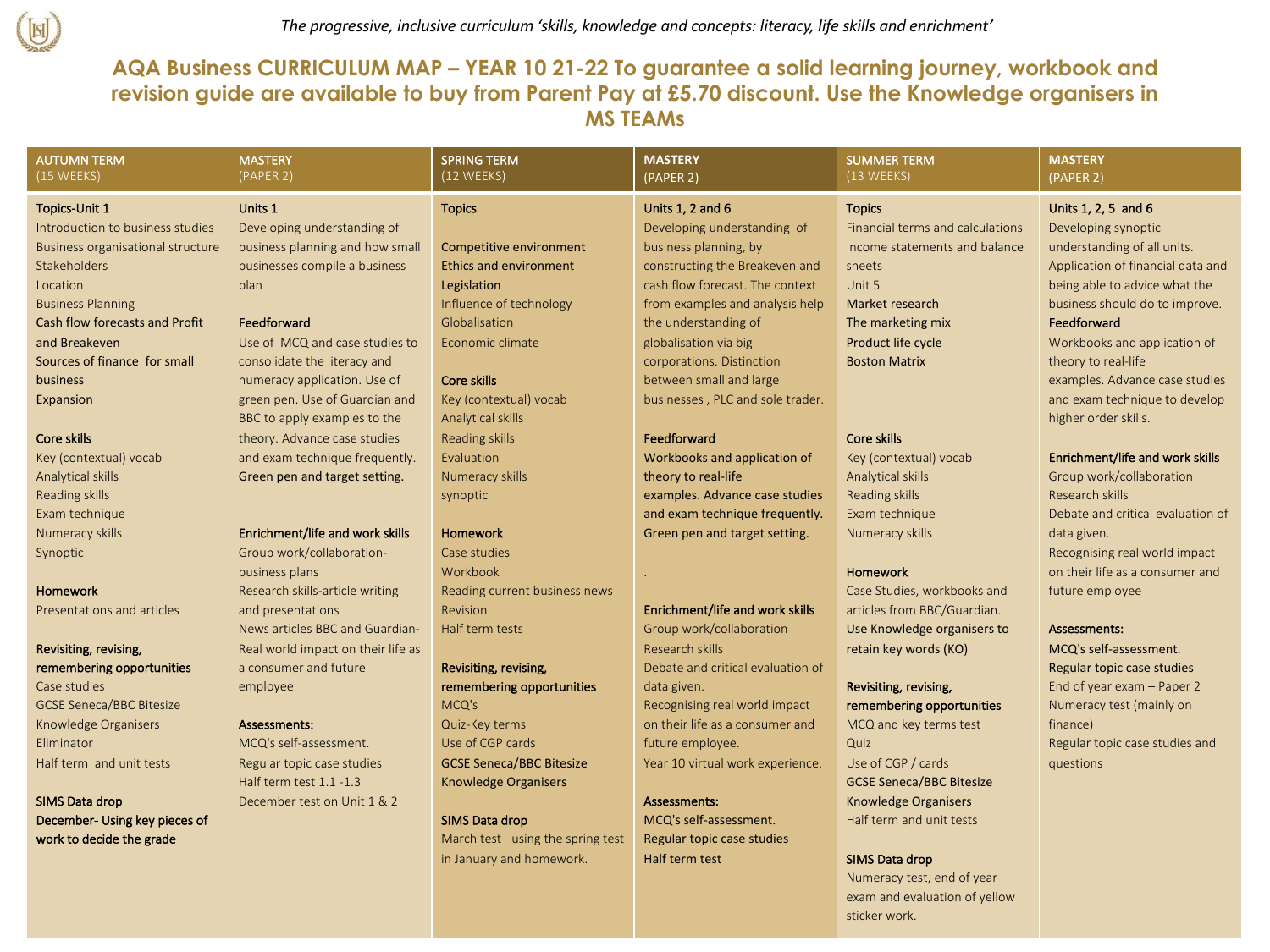

## **AQA Business CURRICULUM MAP – YEAR 10 21-22 To guarantee a solid learning journey, workbook and revision guide are available to buy from Parent Pay at £5.70 discount. Use the Knowledge organisers in MS TEAMs**

| <b>AUTUMN TERM</b><br>(15 WEEKS)  | <b>MASTERY</b><br>(PAPER 2)        | <b>SPRING TERM</b><br>(12 WEEKS)  | <b>MASTERY</b><br>(PAPER 2)       | <b>SUMMER TERM</b><br>(13 WEEKS) | <b>MASTERY</b><br>(PAPER 2)       |
|-----------------------------------|------------------------------------|-----------------------------------|-----------------------------------|----------------------------------|-----------------------------------|
| <b>Topics-Unit 1</b>              | Units 1                            | <b>Topics</b>                     | <b>Units 1, 2 and 6</b>           | <b>Topics</b>                    | Units 1, 2, 5 and 6               |
| Introduction to business studies  | Developing understanding of        |                                   | Developing understanding of       | Financial terms and calculations | Developing synoptic               |
| Business organisational structure | business planning and how small    | Competitive environment           | business planning, by             | Income statements and balance    | understanding of all units.       |
| Stakeholders                      | businesses compile a business      | <b>Ethics and environment</b>     | constructing the Breakeven and    | sheets                           | Application of financial data and |
| Location                          | plan                               | Legislation                       | cash flow forecast. The context   | Unit 5                           | being able to advice what the     |
| <b>Business Planning</b>          |                                    | Influence of technology           | from examples and analysis help   | Market research                  | business should do to improve.    |
| Cash flow forecasts and Profit    | Feedforward                        | Globalisation                     | the understanding of              | The marketing mix                | Feedforward                       |
| and Breakeven                     | Use of MCQ and case studies to     | Economic climate                  | globalisation via big             | Product life cycle               | Workbooks and application of      |
| Sources of finance for small      | consolidate the literacy and       |                                   | corporations. Distinction         | <b>Boston Matrix</b>             | theory to real-life               |
| business                          | numeracy application. Use of       | Core skills                       | between small and large           |                                  | examples. Advance case studies    |
| Expansion                         | green pen. Use of Guardian and     | Key (contextual) vocab            | businesses, PLC and sole trader.  |                                  | and exam technique to develop     |
|                                   | BBC to apply examples to the       | Analytical skills                 |                                   |                                  | higher order skills.              |
| Core skills                       | theory. Advance case studies       | Reading skills                    | Feedforward                       | Core skills                      |                                   |
| Key (contextual) vocab            | and exam technique frequently.     | Evaluation                        | Workbooks and application of      | Key (contextual) vocab           | Enrichment/life and work skills   |
| Analytical skills                 | Green pen and target setting.      | Numeracy skills                   | theory to real-life               | Analytical skills                | Group work/collaboration          |
| Reading skills                    |                                    | synoptic                          | examples. Advance case studies    | Reading skills                   | Research skills                   |
| Exam technique                    |                                    |                                   | and exam technique frequently.    | Exam technique                   | Debate and critical evaluation of |
| Numeracy skills                   | Enrichment/life and work skills    | Homework                          | Green pen and target setting.     | Numeracy skills                  | data given.                       |
| Synoptic                          | Group work/collaboration-          | Case studies                      |                                   |                                  | Recognising real world impact     |
|                                   | business plans                     | Workbook                          |                                   | Homework                         | on their life as a consumer and   |
| Homework                          | Research skills-article writing    | Reading current business news     |                                   | Case Studies, workbooks and      | future employee                   |
| Presentations and articles        | and presentations                  | Revision                          | Enrichment/life and work skills   | articles from BBC/Guardian.      |                                   |
|                                   | News articles BBC and Guardian-    | Half term tests                   | Group work/collaboration          | Use Knowledge organisers to      | Assessments:                      |
| Revisiting, revising,             | Real world impact on their life as |                                   | Research skills                   | retain key words (KO)            | MCQ's self-assessment.            |
| remembering opportunities         | a consumer and future              | Revisiting, revising,             | Debate and critical evaluation of |                                  | Regular topic case studies        |
| Case studies                      | employee                           | remembering opportunities         | data given.                       | Revisiting, revising,            | End of year exam - Paper 2        |
| <b>GCSE Seneca/BBC Bitesize</b>   |                                    | MCQ's                             | Recognising real world impact     | remembering opportunities        | Numeracy test (mainly on          |
| Knowledge Organisers              | Assessments:                       | Quiz-Key terms                    | on their life as a consumer and   | MCQ and key terms test           | finance)                          |
| Eliminator                        | MCQ's self-assessment.             | Use of CGP cards                  | future employee.                  | Quiz                             | Regular topic case studies and    |
| Half term and unit tests          | Regular topic case studies         | <b>GCSE Seneca/BBC Bitesize</b>   | Year 10 virtual work experience.  | Use of CGP / cards               | questions                         |
|                                   | Half term test 1.1 -1.3            | <b>Knowledge Organisers</b>       |                                   | <b>GCSE Seneca/BBC Bitesize</b>  |                                   |
| SIMS Data drop                    | December test on Unit 1 & 2        |                                   | Assessments:                      | <b>Knowledge Organisers</b>      |                                   |
| December- Using key pieces of     |                                    | SIMS Data drop                    | MCQ's self-assessment.            | Half term and unit tests         |                                   |
| work to decide the grade          |                                    | March test -using the spring test | Regular topic case studies        |                                  |                                   |
|                                   |                                    | in January and homework.          | Half term test                    | <b>SIMS Data drop</b>            |                                   |
|                                   |                                    |                                   |                                   | Numeracy test, end of year       |                                   |

exam and evaluation of yellow

sticker work.